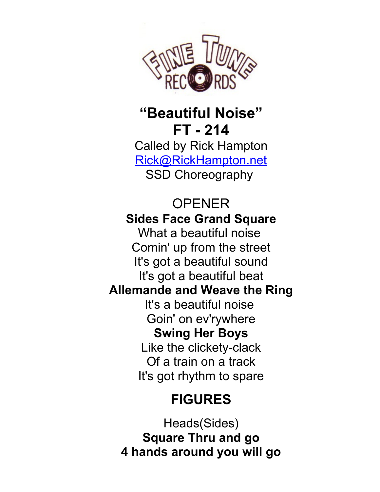

## **"Beautiful Noise" FT - 214**

Called by Rick Hampton [Rick@RickHampton.net](mailto:Rick@RickHampton.net) SSD Choreography

#### OPENER **Sides Face Grand Square** What a beautiful noise Comin' up from the street It's got a beautiful sound It's got a beautiful beat **Allemande and Weave the Ring** It's a beautiful noise Goin' on ev'rywhere **Swing Her Boys** Like the clickety-clack Of a train on a track It's got rhythm to spare

# **FIGURES**

Heads(Sides) **Square Thru and go 4 hands around you will go**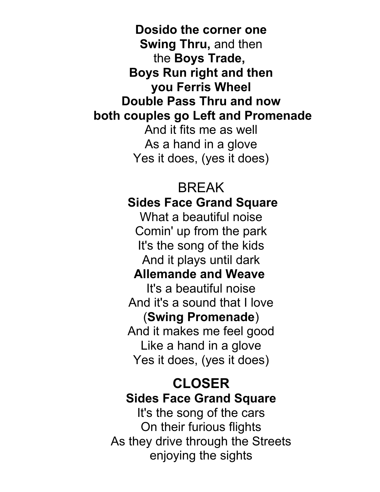**Dosido the corner one Swing Thru,** and then the **Boys Trade, Boys Run right and then you Ferris Wheel Double Pass Thru and now both couples go Left and Promenade** And it fits me as well As a hand in a glove Yes it does, (yes it does)

#### BREAK  **Sides Face Grand Square**

What a beautiful noise Comin' up from the park It's the song of the kids And it plays until dark

### **Allemande and Weave**

It's a beautiful noise And it's a sound that I love (**Swing Promenade**) And it makes me feel good Like a hand in a glove Yes it does, (yes it does)

#### **CLOSER Sides Face Grand Square**

It's the song of the cars On their furious flights As they drive through the Streets enjoying the sights